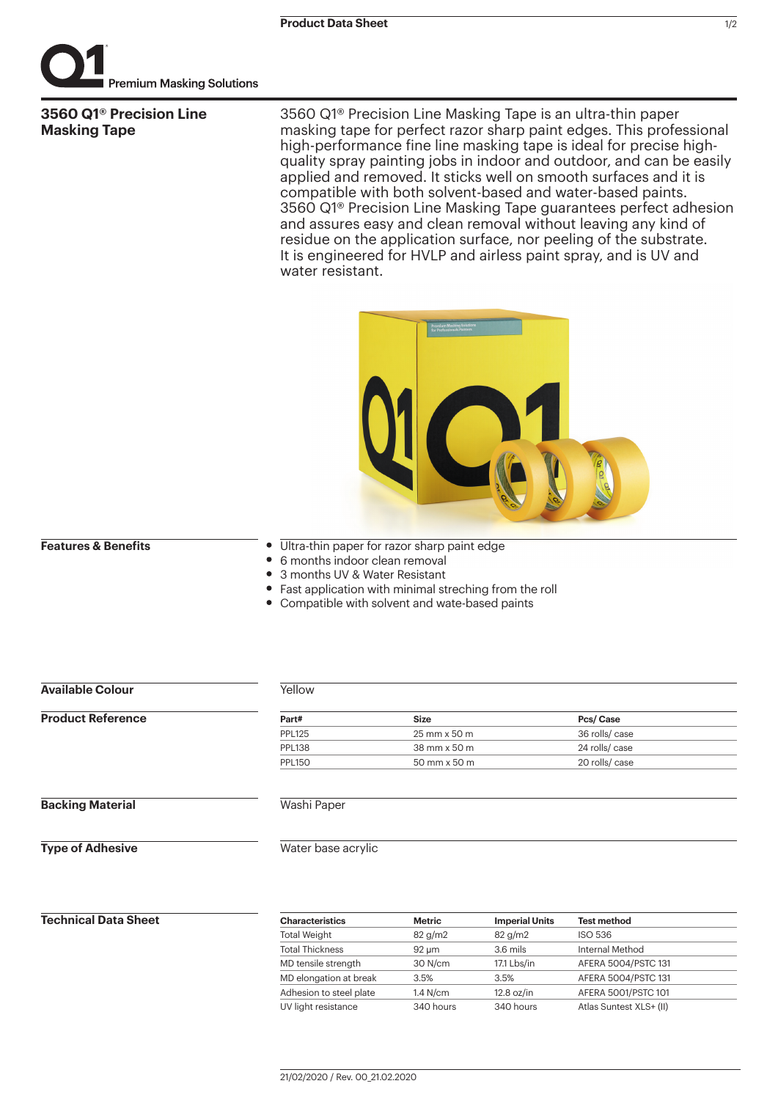

**3560 Q1® Precision Line Masking Tape**

3560 Q1® Precision Line Masking Tape is an ultra-thin paper masking tape for perfect razor sharp paint edges. This professional high-performance fine line masking tape is ideal for precise highquality spray painting jobs in indoor and outdoor, and can be easily applied and removed. It sticks well on smooth surfaces and it is compatible with both solvent-based and water-based paints. 3560 Q1® Precision Line Masking Tape guarantees perfect adhesion and assures easy and clean removal without leaving any kind of residue on the application surface, nor peeling of the substrate. It is engineered for HVLP and airless paint spray, and is UV and water resistant.



#### **Features & Benefits**

- Ultra-thin paper for razor sharp paint edge
- $\bullet$ 6 months indoor clean removal
- 3 months UV & Water Resistant
- Fast application with minimal streching from the roll
- Compatible with solvent and wate-based paints

| <b>Available Colour</b>  | Yellow        |              |                |  |
|--------------------------|---------------|--------------|----------------|--|
| <b>Product Reference</b> | Part#         | <b>Size</b>  | Pcs/Case       |  |
|                          | <b>PPL125</b> | 25 mm x 50 m | 36 rolls/case  |  |
|                          | <b>PPL138</b> | 38 mm x 50 m | 24 rolls/case  |  |
|                          | <b>PPL150</b> | 50 mm x 50 m | 20 rolls/ case |  |
| <b>Backing Material</b>  | Washi Paper   |              |                |  |

**Type of Adhesive**

Water base acrylic

# **Technical Data Sheet**

| <b>Characteristics</b>  | Metric    | <b>Imperial Units</b> | <b>Test method</b>      |
|-------------------------|-----------|-----------------------|-------------------------|
| <b>Total Weight</b>     | 82 g/m2   | 82 g/m2               | <b>ISO 536</b>          |
| <b>Total Thickness</b>  | 92 um     | 3.6 mils              | Internal Method         |
| MD tensile strength     | 30 N/cm   | 17.1 Lbs/in           | AFERA 5004/PSTC 131     |
| MD elongation at break  | 3.5%      | 3.5%                  | AFERA 5004/PSTC 131     |
| Adhesion to steel plate | 1.4 N/cm  | $12.8$ oz/in          | AFERA 5001/PSTC 101     |
| UV light resistance     | 340 hours | 340 hours             | Atlas Suntest XLS+ (II) |